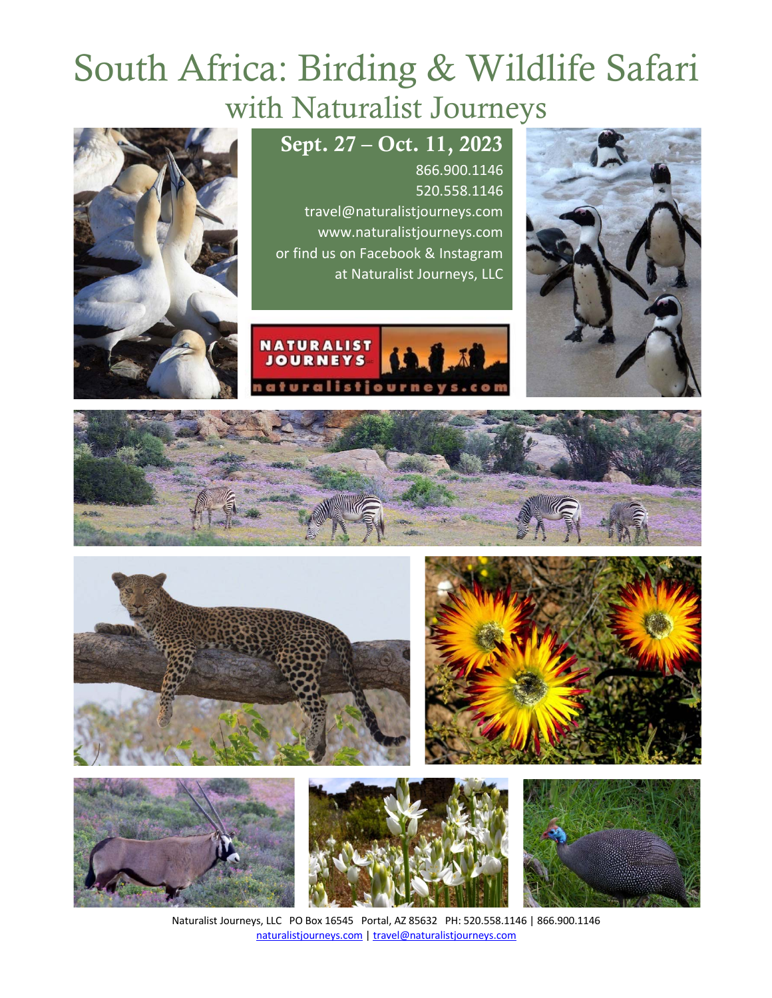# South Africa: Birding & Wildlife Safari with Naturalist Journeys















Naturalist Journeys, LLC PO Box 16545 Portal, AZ 85632 PH: 520.558.1146 | 866.900.1146 naturalistjourneys.com | travel@naturalistjourneys.com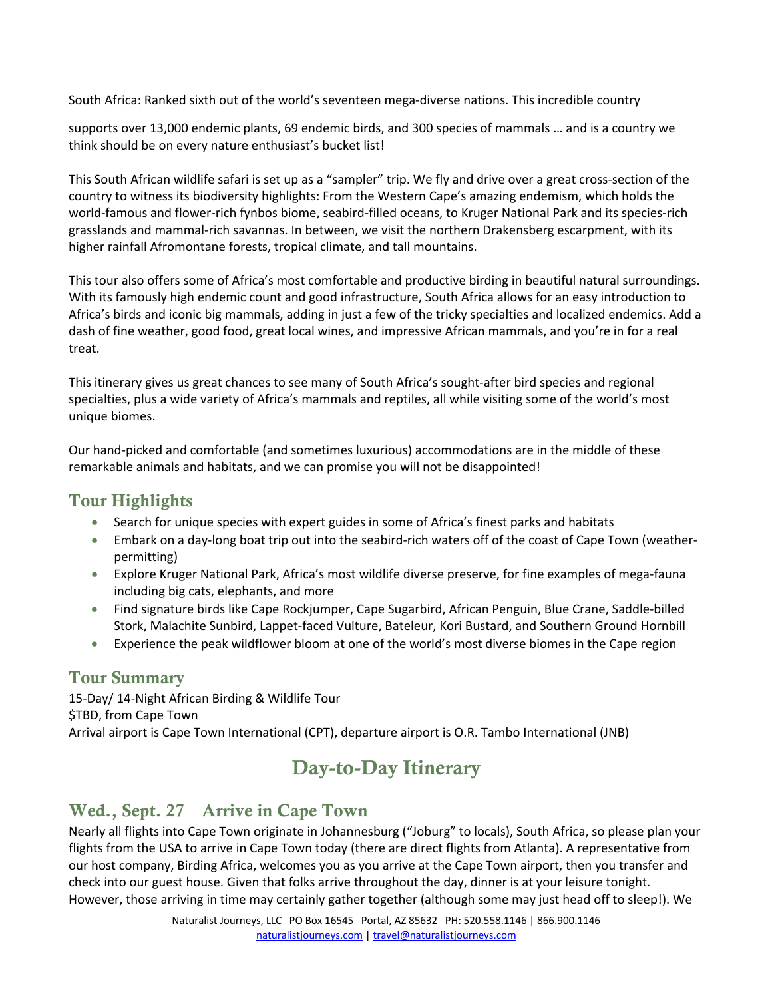South Africa: Ranked sixth out of the world's seventeen mega-diverse nations. This incredible country

supports over 13,000 endemic plants, 69 endemic birds, and 300 species of mammals … and is a country we think should be on every nature enthusiast's bucket list!

This South African wildlife safari is set up as a "sampler" trip. We fly and drive over a great cross-section of the country to witness its biodiversity highlights: From the Western Cape's amazing endemism, which holds the world-famous and flower-rich fynbos biome, seabird-filled oceans, to Kruger National Park and its species-rich grasslands and mammal-rich savannas. In between, we visit the northern Drakensberg escarpment, with its higher rainfall Afromontane forests, tropical climate, and tall mountains.

This tour also offers some of Africa's most comfortable and productive birding in beautiful natural surroundings. With its famously high endemic count and good infrastructure, South Africa allows for an easy introduction to Africa's birds and iconic big mammals, adding in just a few of the tricky specialties and localized endemics. Add a dash of fine weather, good food, great local wines, and impressive African mammals, and you're in for a real treat.

This itinerary gives us great chances to see many of South Africa's sought-after bird species and regional specialties, plus a wide variety of Africa's mammals and reptiles, all while visiting some of the world's most unique biomes.

Our hand-picked and comfortable (and sometimes luxurious) accommodations are in the middle of these remarkable animals and habitats, and we can promise you will not be disappointed!

#### Tour Highlights

- Search for unique species with expert guides in some of Africa's finest parks and habitats
- Embark on a day-long boat trip out into the seabird-rich waters off of the coast of Cape Town (weatherpermitting)
- Explore Kruger National Park, Africa's most wildlife diverse preserve, for fine examples of mega-fauna including big cats, elephants, and more
- Find signature birds like Cape Rockjumper, Cape Sugarbird, African Penguin, Blue Crane, Saddle-billed Stork, Malachite Sunbird, Lappet-faced Vulture, Bateleur, Kori Bustard, and Southern Ground Hornbill
- Experience the peak wildflower bloom at one of the world's most diverse biomes in the Cape region

#### Tour Summary

15-Day/ 14-Night African Birding & Wildlife Tour \$TBD, from Cape Town Arrival airport is Cape Town International (CPT), departure airport is O.R. Tambo International (JNB)

# Day-to-Day Itinerary

#### Wed., Sept. 27 Arrive in Cape Town

Nearly all flights into Cape Town originate in Johannesburg ("Joburg" to locals), South Africa, so please plan your flights from the USA to arrive in Cape Town today (there are direct flights from Atlanta). A representative from our host company, Birding Africa, welcomes you as you arrive at the Cape Town airport, then you transfer and check into our guest house. Given that folks arrive throughout the day, dinner is at your leisure tonight. However, those arriving in time may certainly gather together (although some may just head off to sleep!). We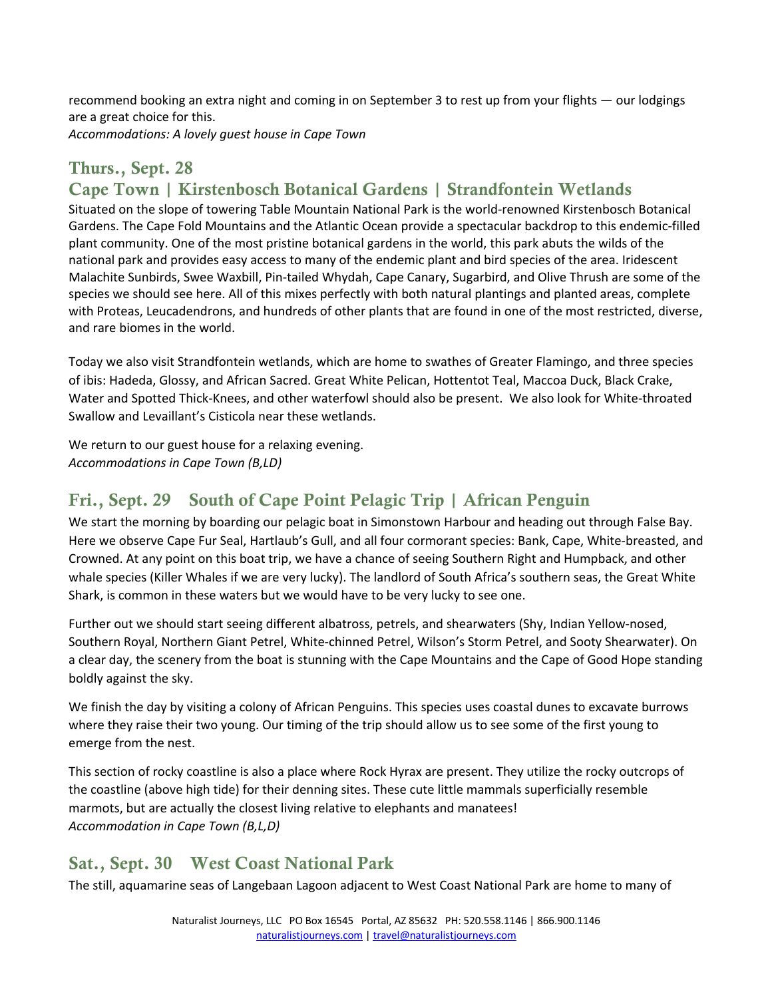recommend booking an extra night and coming in on September 3 to rest up from your flights ― our lodgings are a great choice for this. *Accommodations: A lovely guest house in Cape Town* 

## Thurs., Sept. 28 Cape Town | Kirstenbosch Botanical Gardens | Strandfontein Wetlands

Situated on the slope of towering Table Mountain National Park is the world-renowned Kirstenbosch Botanical Gardens. The Cape Fold Mountains and the Atlantic Ocean provide a spectacular backdrop to this endemic-filled plant community. One of the most pristine botanical gardens in the world, this park abuts the wilds of the national park and provides easy access to many of the endemic plant and bird species of the area. Iridescent Malachite Sunbirds, Swee Waxbill, Pin-tailed Whydah, Cape Canary, Sugarbird, and Olive Thrush are some of the species we should see here. All of this mixes perfectly with both natural plantings and planted areas, complete with Proteas, Leucadendrons, and hundreds of other plants that are found in one of the most restricted, diverse, and rare biomes in the world.

Today we also visit Strandfontein wetlands, which are home to swathes of Greater Flamingo, and three species of ibis: Hadeda, Glossy, and African Sacred. Great White Pelican, Hottentot Teal, Maccoa Duck, Black Crake, Water and Spotted Thick-Knees, and other waterfowl should also be present. We also look for White-throated Swallow and Levaillant's Cisticola near these wetlands.

We return to our guest house for a relaxing evening. *Accommodations in Cape Town (B,LD)*

## Fri., Sept. 29 South of Cape Point Pelagic Trip | African Penguin

We start the morning by boarding our pelagic boat in Simonstown Harbour and heading out through False Bay. Here we observe Cape Fur Seal, Hartlaub's Gull, and all four cormorant species: Bank, Cape, White-breasted, and Crowned. At any point on this boat trip, we have a chance of seeing Southern Right and Humpback, and other whale species (Killer Whales if we are very lucky). The landlord of South Africa's southern seas, the Great White Shark, is common in these waters but we would have to be very lucky to see one.

Further out we should start seeing different albatross, petrels, and shearwaters (Shy, Indian Yellow-nosed, Southern Royal, Northern Giant Petrel, White-chinned Petrel, Wilson's Storm Petrel, and Sooty Shearwater). On a clear day, the scenery from the boat is stunning with the Cape Mountains and the Cape of Good Hope standing boldly against the sky.

We finish the day by visiting a colony of African Penguins. This species uses coastal dunes to excavate burrows where they raise their two young. Our timing of the trip should allow us to see some of the first young to emerge from the nest.

This section of rocky coastline is also a place where Rock Hyrax are present. They utilize the rocky outcrops of the coastline (above high tide) for their denning sites. These cute little mammals superficially resemble marmots, but are actually the closest living relative to elephants and manatees! *Accommodation in Cape Town (B,L,D)*

#### Sat., Sept. 30 West Coast National Park

The still, aquamarine seas of Langebaan Lagoon adjacent to West Coast National Park are home to many of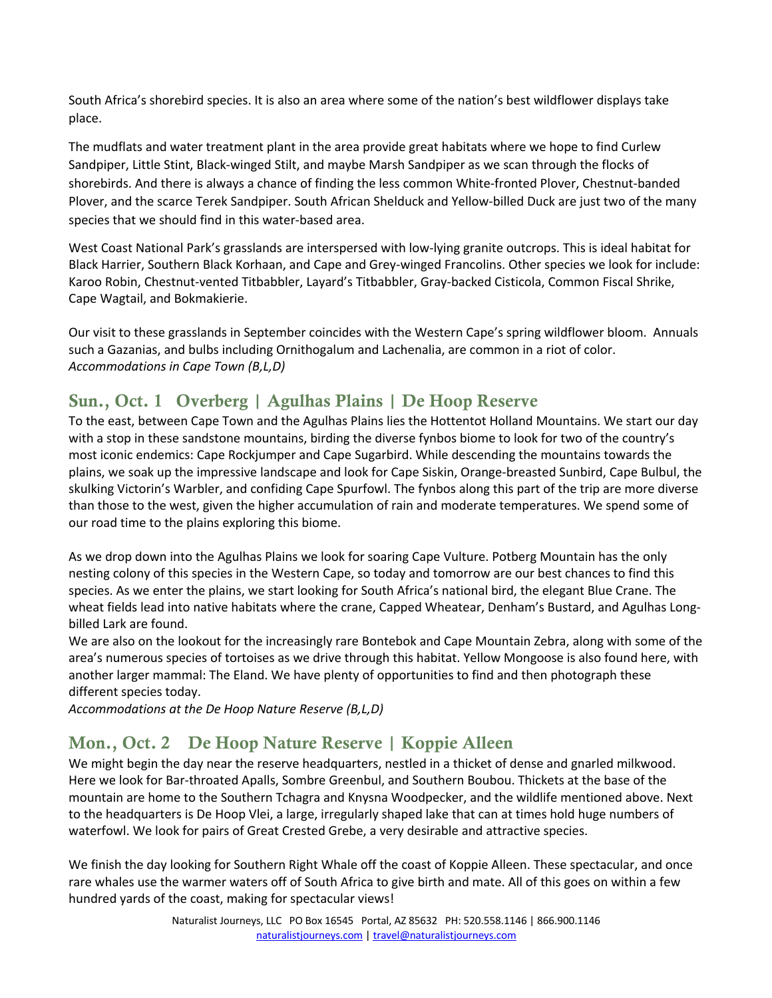South Africa's shorebird species. It is also an area where some of the nation's best wildflower displays take place.

The mudflats and water treatment plant in the area provide great habitats where we hope to find Curlew Sandpiper, Little Stint, Black-winged Stilt, and maybe Marsh Sandpiper as we scan through the flocks of shorebirds. And there is always a chance of finding the less common White-fronted Plover, Chestnut-banded Plover, and the scarce Terek Sandpiper. South African Shelduck and Yellow-billed Duck are just two of the many species that we should find in this water-based area.

West Coast National Park's grasslands are interspersed with low-lying granite outcrops. This is ideal habitat for Black Harrier, Southern Black Korhaan, and Cape and Grey-winged Francolins. Other species we look for include: Karoo Robin, Chestnut-vented Titbabbler, Layard's Titbabbler, Gray-backed Cisticola, Common Fiscal Shrike, Cape Wagtail, and Bokmakierie.

Our visit to these grasslands in September coincides with the Western Cape's spring wildflower bloom. Annuals such a Gazanias, and bulbs including Ornithogalum and Lachenalia, are common in a riot of color. *Accommodations in Cape Town (B,L,D)*

## Sun., Oct. 1 Overberg | Agulhas Plains | De Hoop Reserve

To the east, between Cape Town and the Agulhas Plains lies the Hottentot Holland Mountains. We start our day with a stop in these sandstone mountains, birding the diverse fynbos biome to look for two of the country's most iconic endemics: Cape Rockjumper and Cape Sugarbird. While descending the mountains towards the plains, we soak up the impressive landscape and look for Cape Siskin, Orange-breasted Sunbird, Cape Bulbul, the skulking Victorin's Warbler, and confiding Cape Spurfowl. The fynbos along this part of the trip are more diverse than those to the west, given the higher accumulation of rain and moderate temperatures. We spend some of our road time to the plains exploring this biome.

As we drop down into the Agulhas Plains we look for soaring Cape Vulture. Potberg Mountain has the only nesting colony of this species in the Western Cape, so today and tomorrow are our best chances to find this species. As we enter the plains, we start looking for South Africa's national bird, the elegant Blue Crane. The wheat fields lead into native habitats where the crane, Capped Wheatear, Denham's Bustard, and Agulhas Longbilled Lark are found.

We are also on the lookout for the increasingly rare Bontebok and Cape Mountain Zebra, along with some of the area's numerous species of tortoises as we drive through this habitat. Yellow Mongoose is also found here, with another larger mammal: The Eland. We have plenty of opportunities to find and then photograph these different species today.

*Accommodations at the De Hoop Nature Reserve (B,L,D)*

## Mon., Oct. 2 De Hoop Nature Reserve | Koppie Alleen

We might begin the day near the reserve headquarters, nestled in a thicket of dense and gnarled milkwood. Here we look for Bar-throated Apalls, Sombre Greenbul, and Southern Boubou. Thickets at the base of the mountain are home to the Southern Tchagra and Knysna Woodpecker, and the wildlife mentioned above. Next to the headquarters is De Hoop Vlei, a large, irregularly shaped lake that can at times hold huge numbers of waterfowl. We look for pairs of Great Crested Grebe, a very desirable and attractive species.

We finish the day looking for Southern Right Whale off the coast of Koppie Alleen. These spectacular, and once rare whales use the warmer waters off of South Africa to give birth and mate. All of this goes on within a few hundred yards of the coast, making for spectacular views!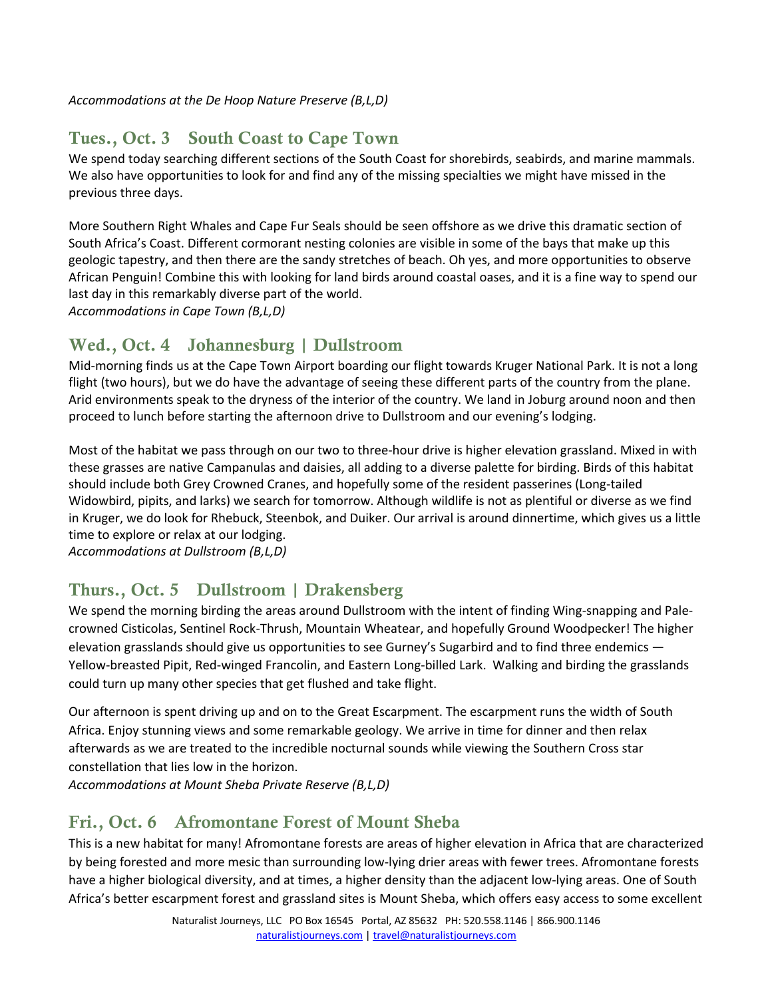*Accommodations at the De Hoop Nature Preserve (B,L,D)*

## Tues., Oct. 3 South Coast to Cape Town

We spend today searching different sections of the South Coast for shorebirds, seabirds, and marine mammals. We also have opportunities to look for and find any of the missing specialties we might have missed in the previous three days.

More Southern Right Whales and Cape Fur Seals should be seen offshore as we drive this dramatic section of South Africa's Coast. Different cormorant nesting colonies are visible in some of the bays that make up this geologic tapestry, and then there are the sandy stretches of beach. Oh yes, and more opportunities to observe African Penguin! Combine this with looking for land birds around coastal oases, and it is a fine way to spend our last day in this remarkably diverse part of the world.

*Accommodations in Cape Town (B,L,D)*

## Wed., Oct. 4 Johannesburg | Dullstroom

Mid-morning finds us at the Cape Town Airport boarding our flight towards Kruger National Park. It is not a long flight (two hours), but we do have the advantage of seeing these different parts of the country from the plane. Arid environments speak to the dryness of the interior of the country. We land in Joburg around noon and then proceed to lunch before starting the afternoon drive to Dullstroom and our evening's lodging.

Most of the habitat we pass through on our two to three-hour drive is higher elevation grassland. Mixed in with these grasses are native Campanulas and daisies, all adding to a diverse palette for birding. Birds of this habitat should include both Grey Crowned Cranes, and hopefully some of the resident passerines (Long-tailed Widowbird, pipits, and larks) we search for tomorrow. Although wildlife is not as plentiful or diverse as we find in Kruger, we do look for Rhebuck, Steenbok, and Duiker. Our arrival is around dinnertime, which gives us a little time to explore or relax at our lodging.

*Accommodations at Dullstroom (B,L,D)*

## Thurs., Oct. 5 Dullstroom | Drakensberg

We spend the morning birding the areas around Dullstroom with the intent of finding Wing-snapping and Palecrowned Cisticolas, Sentinel Rock-Thrush, Mountain Wheatear, and hopefully Ground Woodpecker! The higher elevation grasslands should give us opportunities to see Gurney's Sugarbird and to find three endemics — Yellow-breasted Pipit, Red-winged Francolin, and Eastern Long-billed Lark. Walking and birding the grasslands could turn up many other species that get flushed and take flight.

Our afternoon is spent driving up and on to the Great Escarpment. The escarpment runs the width of South Africa. Enjoy stunning views and some remarkable geology. We arrive in time for dinner and then relax afterwards as we are treated to the incredible nocturnal sounds while viewing the Southern Cross star constellation that lies low in the horizon.

*Accommodations at Mount Sheba Private Reserve (B,L,D)*

#### Fri., Oct. 6 Afromontane Forest of Mount Sheba

This is a new habitat for many! Afromontane forests are areas of higher elevation in Africa that are characterized by being forested and more mesic than surrounding low-lying drier areas with fewer trees. Afromontane forests have a higher biological diversity, and at times, a higher density than the adjacent low-lying areas. One of South Africa's better escarpment forest and grassland sites is Mount Sheba, which offers easy access to some excellent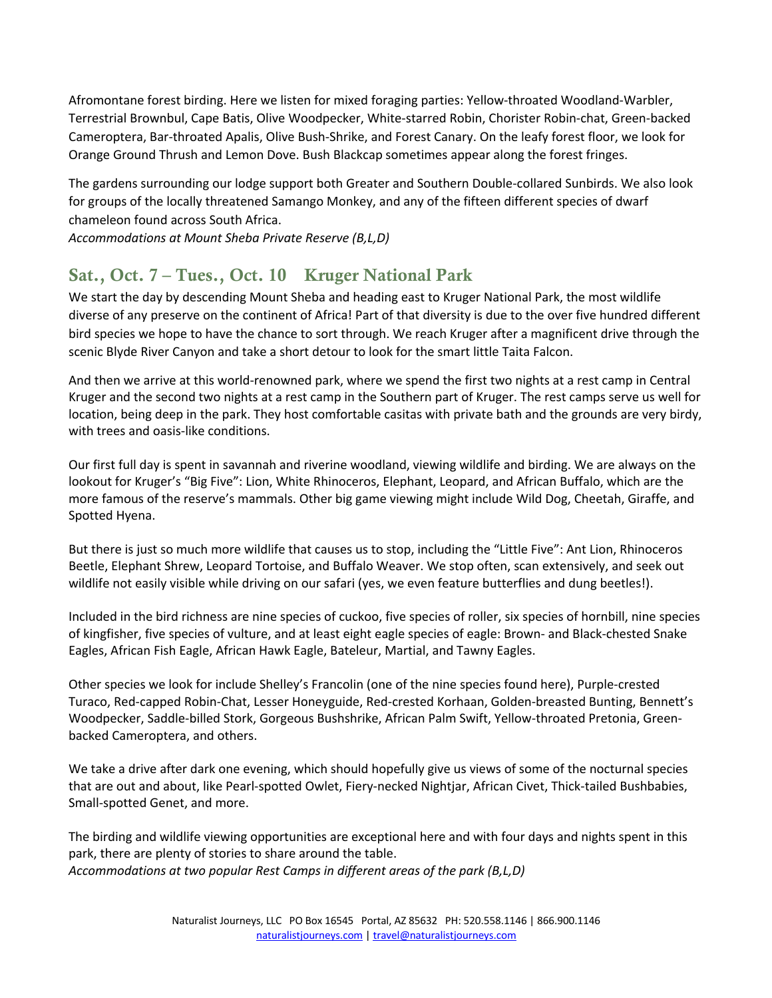Afromontane forest birding. Here we listen for mixed foraging parties: Yellow-throated Woodland-Warbler, Terrestrial Brownbul, Cape Batis, Olive Woodpecker, White-starred Robin, Chorister Robin-chat, Green-backed Cameroptera, Bar-throated Apalis, Olive Bush-Shrike, and Forest Canary. On the leafy forest floor, we look for Orange Ground Thrush and Lemon Dove. Bush Blackcap sometimes appear along the forest fringes.

The gardens surrounding our lodge support both Greater and Southern Double-collared Sunbirds. We also look for groups of the locally threatened Samango Monkey, and any of the fifteen different species of dwarf chameleon found across South Africa.

*Accommodations at Mount Sheba Private Reserve (B,L,D)*

## Sat., Oct. 7 – Tues., Oct. 10 Kruger National Park

We start the day by descending Mount Sheba and heading east to Kruger National Park, the most wildlife diverse of any preserve on the continent of Africa! Part of that diversity is due to the over five hundred different bird species we hope to have the chance to sort through. We reach Kruger after a magnificent drive through the scenic Blyde River Canyon and take a short detour to look for the smart little Taita Falcon.

And then we arrive at this world-renowned park, where we spend the first two nights at a rest camp in Central Kruger and the second two nights at a rest camp in the Southern part of Kruger. The rest camps serve us well for location, being deep in the park. They host comfortable casitas with private bath and the grounds are very birdy, with trees and oasis-like conditions.

Our first full day is spent in savannah and riverine woodland, viewing wildlife and birding. We are always on the lookout for Kruger's "Big Five": Lion, White Rhinoceros, Elephant, Leopard, and African Buffalo, which are the more famous of the reserve's mammals. Other big game viewing might include Wild Dog, Cheetah, Giraffe, and Spotted Hyena.

But there is just so much more wildlife that causes us to stop, including the "Little Five": Ant Lion, Rhinoceros Beetle, Elephant Shrew, Leopard Tortoise, and Buffalo Weaver. We stop often, scan extensively, and seek out wildlife not easily visible while driving on our safari (yes, we even feature butterflies and dung beetles!).

Included in the bird richness are nine species of cuckoo, five species of roller, six species of hornbill, nine species of kingfisher, five species of vulture, and at least eight eagle species of eagle: Brown- and Black-chested Snake Eagles, African Fish Eagle, African Hawk Eagle, Bateleur, Martial, and Tawny Eagles.

Other species we look for include Shelley's Francolin (one of the nine species found here), Purple-crested Turaco, Red-capped Robin-Chat, Lesser Honeyguide, Red-crested Korhaan, Golden-breasted Bunting, Bennett's Woodpecker, Saddle-billed Stork, Gorgeous Bushshrike, African Palm Swift, Yellow-throated Pretonia, Greenbacked Cameroptera, and others.

We take a drive after dark one evening, which should hopefully give us views of some of the nocturnal species that are out and about, like Pearl-spotted Owlet, Fiery-necked Nightjar, African Civet, Thick-tailed Bushbabies, Small-spotted Genet, and more.

The birding and wildlife viewing opportunities are exceptional here and with four days and nights spent in this park, there are plenty of stories to share around the table. *Accommodations at two popular Rest Camps in different areas of the park (B,L,D)*